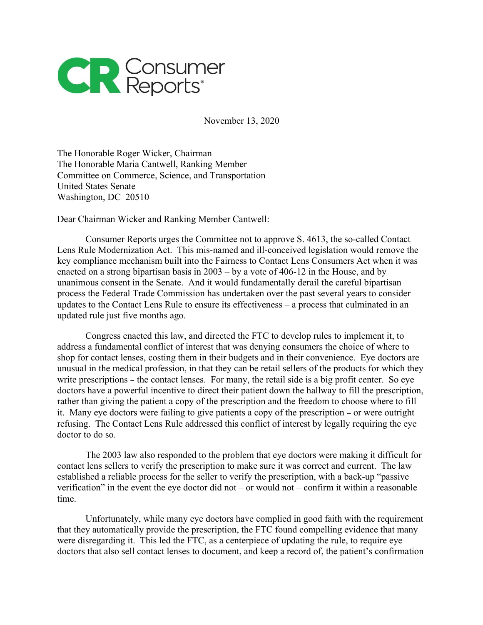

November 13, 2020

The Honorable Roger Wicker, Chairman The Honorable Maria Cantwell, Ranking Member Committee on Commerce, Science, and Transportation United States Senate Washington, DC 20510

Dear Chairman Wicker and Ranking Member Cantwell:

Consumer Reports urges the Committee not to approve S. 4613, the so-called Contact Lens Rule Modernization Act. This mis-named and ill-conceived legislation would remove the key compliance mechanism built into the Fairness to Contact Lens Consumers Act when it was enacted on a strong bipartisan basis in 2003 – by a vote of 406-12 in the House, and by unanimous consent in the Senate. And it would fundamentally derail the careful bipartisan process the Federal Trade Commission has undertaken over the past several years to consider updates to the Contact Lens Rule to ensure its effectiveness – a process that culminated in an updated rule just five months ago.

Congress enacted this law, and directed the FTC to develop rules to implement it, to address a fundamental conflict of interest that was denying consumers the choice of where to shop for contact lenses, costing them in their budgets and in their convenience. Eye doctors are unusual in the medical profession, in that they can be retail sellers of the products for which they write prescriptions – the contact lenses. For many, the retail side is a big profit center. So eye doctors have a powerful incentive to direct their patient down the hallway to fill the prescription, rather than giving the patient a copy of the prescription and the freedom to choose where to fill it. Many eye doctors were failing to give patients a copy of the prescription – or were outright refusing. The Contact Lens Rule addressed this conflict of interest by legally requiring the eye doctor to do so.

The 2003 law also responded to the problem that eye doctors were making it difficult for contact lens sellers to verify the prescription to make sure it was correct and current. The law established a reliable process for the seller to verify the prescription, with a back-up "passive verification" in the event the eye doctor did not – or would not – confirm it within a reasonable time.

Unfortunately, while many eye doctors have complied in good faith with the requirement that they automatically provide the prescription, the FTC found compelling evidence that many were disregarding it. This led the FTC, as a centerpiece of updating the rule, to require eye doctors that also sell contact lenses to document, and keep a record of, the patient's confirmation